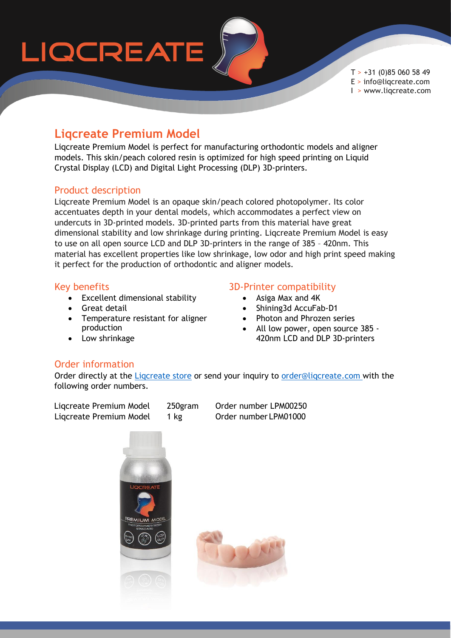# LIQCREATE

 $T > +31$  (0)85 060 58 49 E > info@liqcreate.com I > www.liqcreate.com

### **Liqcreate Premium Model**

Liqcreate Premium Model is perfect for manufacturing orthodontic models and aligner models. This skin/peach colored resin is optimized for high speed printing on Liquid Crystal Display (LCD) and Digital Light Processing (DLP) 3D-printers.

#### Product description

Liqcreate Premium Model is an opaque skin/peach colored photopolymer. Its color accentuates depth in your dental models, which accommodates a perfect view on undercuts in 3D-printed models. 3D-printed parts from this material have great dimensional stability and low shrinkage during printing. Liqcreate Premium Model is easy to use on all open source LCD and DLP 3D-printers in the range of 385 – 420nm. This material has excellent properties like low shrinkage, low odor and high print speed making it perfect for the production of orthodontic and aligner models.

#### Key benefits

- Excellent dimensional stability
- **•** Great detail
- Temperature resistant for aligner production
- Low shrinkage

#### 3D-Printer compatibility

- Asiga Max and 4K
- Shining3d AccuFab-D1
- Photon and Phrozen series
- All low power, open source 385 420nm LCD and DLP 3D-printers

#### Order information

Order directly at the [Liqcreate store](https://www.liqcreate.com/shop/) or send your inquiry to [order@liqcreate.com](mailto:order@liqcreate.com) with the following order numbers.

Liqcreate Premium Model 250gram Order number LPM00250 Ligcreate Premium Model 1 kg Order number LPM01000